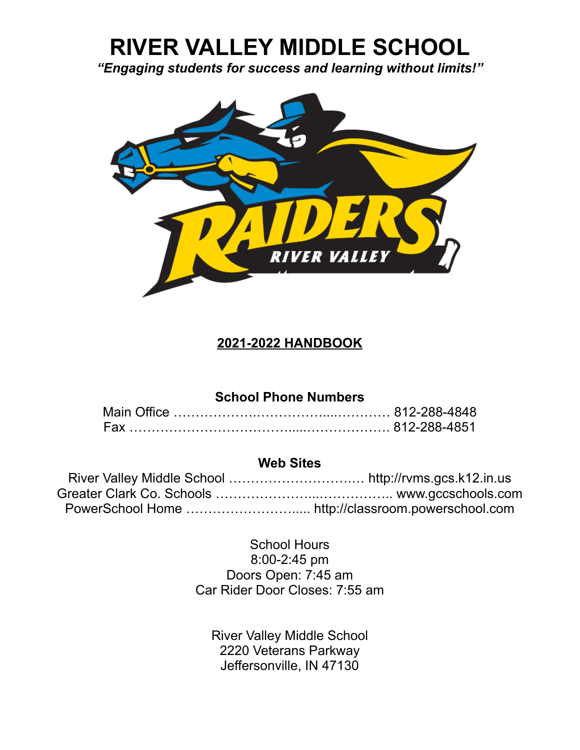# **RIVER VALLEY MIDDLE SCHOOL**

*"Engaging students for success and learning without limits!"*



## **2021-2022 HANDBOOK**

## **School Phone Numbers**

## **Web Sites**

School Hours 8:00-2:45 pm Doors Open: 7:45 am Car Rider Door Closes: 7:55 am

River Valley Middle School 2220 Veterans Parkway Jeffersonville, IN 47130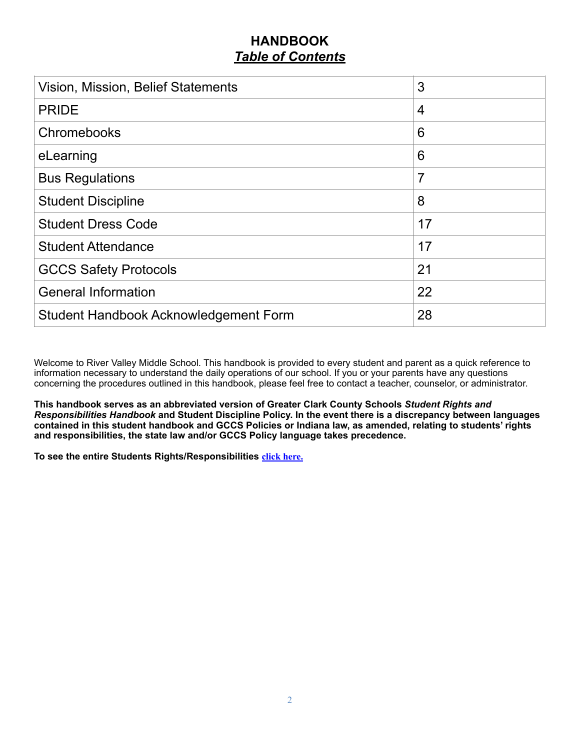## **HANDBOOK** *Table of Contents*

| Vision, Mission, Belief Statements    | 3              |
|---------------------------------------|----------------|
| <b>PRIDE</b>                          | $\overline{4}$ |
| Chromebooks                           | 6              |
| eLearning                             | 6              |
| <b>Bus Regulations</b>                | 7              |
| <b>Student Discipline</b>             | 8              |
| <b>Student Dress Code</b>             | 17             |
| <b>Student Attendance</b>             | 17             |
| <b>GCCS Safety Protocols</b>          | 21             |
| <b>General Information</b>            | 22             |
| Student Handbook Acknowledgement Form | 28             |

Welcome to River Valley Middle School. This handbook is provided to every student and parent as a quick reference to information necessary to understand the daily operations of our school. If you or your parents have any questions concerning the procedures outlined in this handbook, please feel free to contact a teacher, counselor, or administrator.

**This handbook serves as an abbreviated version of Greater Clark County Schools** *Student Rights and Responsibilities Handbook* **and Student Discipline Policy. In the event there is a discrepancy between languages contained in this student handbook and GCCS Policies or Indiana law, as amended, relating to students' rights and responsibilities, the state law and/or GCCS Policy language takes precedence.** 

**To see the entire Students Rights/Responsibilities [click here.](http://www.gccschools.com/wp-content/uploads/2021/05/GCCS-Rights-and-Responsibilities.pdf)**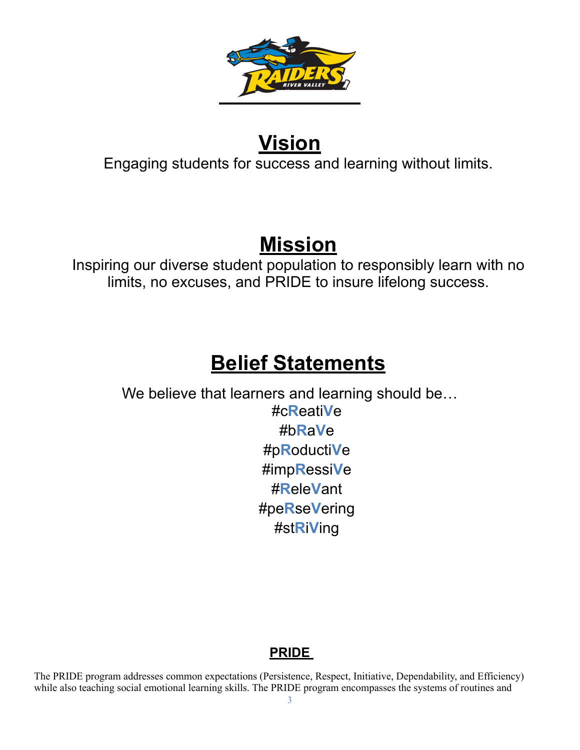

# **Vision**

Engaging students for success and learning without limits.

## **Mission**

Inspiring our diverse student population to responsibly learn with no limits, no excuses, and PRIDE to insure lifelong success.

# **Belief Statements**

We believe that learners and learning should be… #c**R**eati**V**e #b**R**a**V**e #p**R**oducti**V**e #imp**R**essi**V**e #**R**ele**V**ant #pe**R**se**V**ering #st**R**i**V**ing

## **PRIDE**

The PRIDE program addresses common expectations (Persistence, Respect, Initiative, Dependability, and Efficiency) while also teaching social emotional learning skills. The PRIDE program encompasses the systems of routines and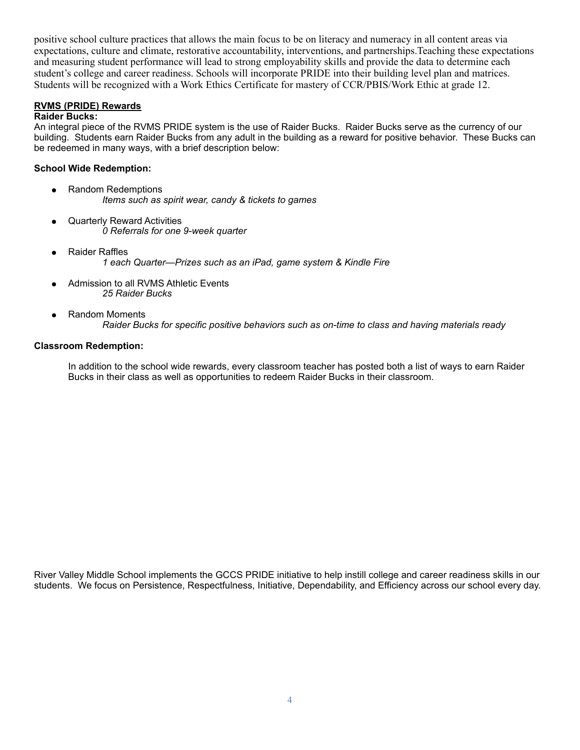positive school culture practices that allows the main focus to be on literacy and numeracy in all content areas via expectations, culture and climate, restorative accountability, interventions, and partnerships.Teaching these expectations and measuring student performance will lead to strong employability skills and provide the data to determine each student's college and career readiness. Schools will incorporate PRIDE into their building level plan and matrices. Students will be recognized with a Work Ethics Certificate for mastery of CCR/PBIS/Work Ethic at grade 12.

#### **RVMS (PRIDE) Rewards**

#### **Raider Bucks:**

An integral piece of the RVMS PRIDE system is the use of Raider Bucks. Raider Bucks serve as the currency of our building. Students earn Raider Bucks from any adult in the building as a reward for positive behavior. These Bucks can be redeemed in many ways, with a brief description below:

#### **School Wide Redemption:**

- Random Redemptions *Items such as spirit wear, candy & tickets to games*
- **Quarterly Reward Activities** *0 Referrals for one 9-week quarter*
- **Raider Raffles** *1 each Quarter—Prizes such as an iPad, game system & Kindle Fire*
- Admission to all RVMS Athletic Events *25 Raider Bucks*
- **Random Moments** *Raider Bucks for specific positive behaviors such as on-time to class and having materials ready*

#### **Classroom Redemption:**

In addition to the school wide rewards, every classroom teacher has posted both a list of ways to earn Raider Bucks in their class as well as opportunities to redeem Raider Bucks in their classroom.

River Valley Middle School implements the GCCS PRIDE initiative to help instill college and career readiness skills in our students. We focus on Persistence, Respectfulness, Initiative, Dependability, and Efficiency across our school every day.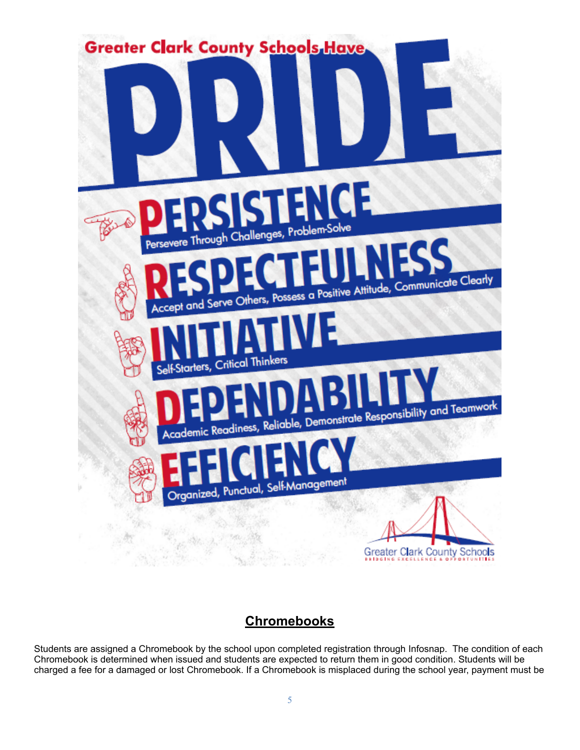

## **Chromebooks**

Students are assigned a Chromebook by the school upon completed registration through Infosnap. The condition of each Chromebook is determined when issued and students are expected to return them in good condition. Students will be charged a fee for a damaged or lost Chromebook. If a Chromebook is misplaced during the school year, payment must be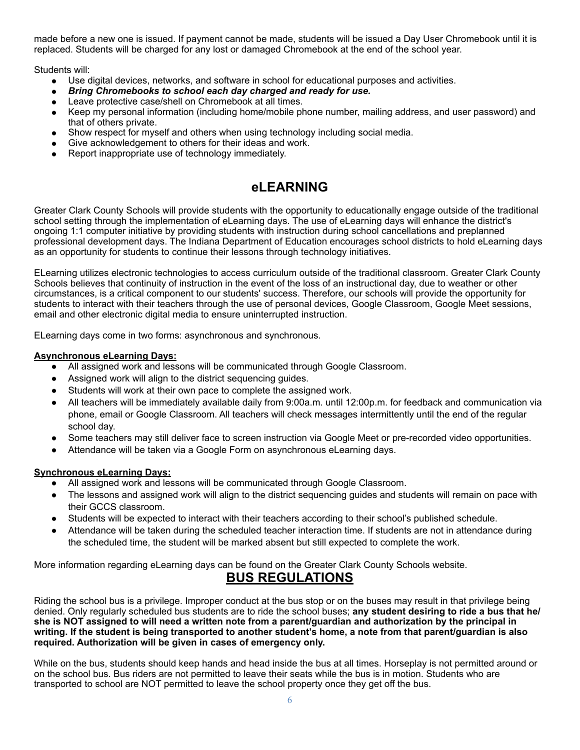made before a new one is issued. If payment cannot be made, students will be issued a Day User Chromebook until it is replaced. Students will be charged for any lost or damaged Chromebook at the end of the school year.

Students will:

- Use digital devices, networks, and software in school for educational purposes and activities.
- *Bring Chromebooks to school each day charged and ready for use.*
- Leave protective case/shell on Chromebook at all times.
- Keep my personal information (including home/mobile phone number, mailing address, and user password) and that of others private.
- Show respect for myself and others when using technology including social media.
- Give acknowledgement to others for their ideas and work.
- Report inappropriate use of technology immediately.

## **eLEARNING**

Greater Clark County Schools will provide students with the opportunity to educationally engage outside of the traditional school setting through the implementation of eLearning days. The use of eLearning days will enhance the district's ongoing 1:1 computer initiative by providing students with instruction during school cancellations and preplanned professional development days. The Indiana Department of Education encourages school districts to hold eLearning days as an opportunity for students to continue their lessons through technology initiatives.

ELearning utilizes electronic technologies to access curriculum outside of the traditional classroom. Greater Clark County Schools believes that continuity of instruction in the event of the loss of an instructional day, due to weather or other circumstances, is a critical component to our students' success. Therefore, our schools will provide the opportunity for students to interact with their teachers through the use of personal devices, Google Classroom, Google Meet sessions, email and other electronic digital media to ensure uninterrupted instruction.

ELearning days come in two forms: asynchronous and synchronous.

#### **Asynchronous eLearning Days:**

- All assigned work and lessons will be communicated through Google Classroom.
- Assigned work will align to the district sequencing guides.
- Students will work at their own pace to complete the assigned work.
- All teachers will be immediately available daily from 9:00a.m. until 12:00p.m. for feedback and communication via phone, email or Google Classroom. All teachers will check messages intermittently until the end of the regular school day.
- Some teachers may still deliver face to screen instruction via Google Meet or pre-recorded video opportunities.
- Attendance will be taken via a Google Form on asynchronous eLearning days.

#### **Synchronous eLearning Days:**

- All assigned work and lessons will be communicated through Google Classroom.
- The lessons and assigned work will align to the district sequencing guides and students will remain on pace with their GCCS classroom.
- Students will be expected to interact with their teachers according to their school's published schedule.
- Attendance will be taken during the scheduled teacher interaction time. If students are not in attendance during the scheduled time, the student will be marked absent but still expected to complete the work.

More information regarding eLearning days can be found on the Greater Clark County Schools website.

## **BUS REGULATIONS**

Riding the school bus is a privilege. Improper conduct at the bus stop or on the buses may result in that privilege being denied. Only regularly scheduled bus students are to ride the school buses; **any student desiring to ride a bus that he/ she is NOT assigned to will need a written note from a parent/guardian and authorization by the principal in writing. If the student is being transported to another student's home, a note from that parent/guardian is also required. Authorization will be given in cases of emergency only.**

While on the bus, students should keep hands and head inside the bus at all times. Horseplay is not permitted around or on the school bus. Bus riders are not permitted to leave their seats while the bus is in motion. Students who are transported to school are NOT permitted to leave the school property once they get off the bus.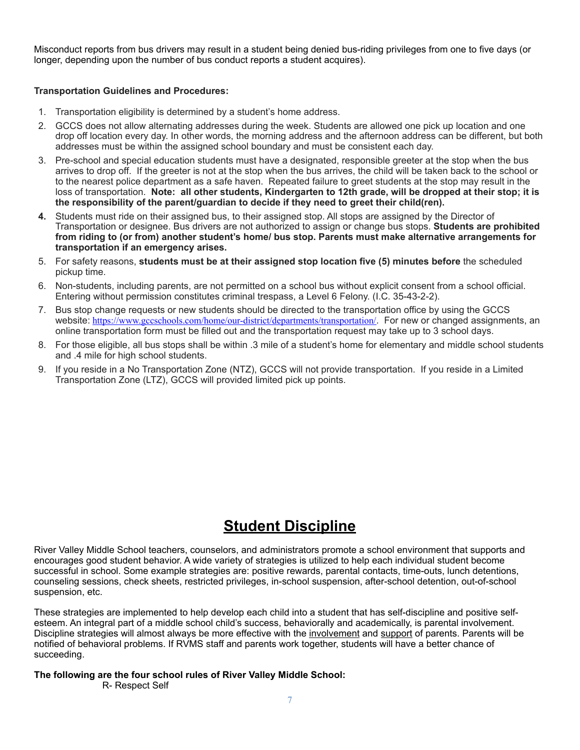Misconduct reports from bus drivers may result in a student being denied bus-riding privileges from one to five days (or longer, depending upon the number of bus conduct reports a student acquires).

#### **Transportation Guidelines and Procedures:**

- 1. Transportation eligibility is determined by a student's home address.
- 2. GCCS does not allow alternating addresses during the week. Students are allowed one pick up location and one drop off location every day. In other words, the morning address and the afternoon address can be different, but both addresses must be within the assigned school boundary and must be consistent each day.
- 3. Pre-school and special education students must have a designated, responsible greeter at the stop when the bus arrives to drop off. If the greeter is not at the stop when the bus arrives, the child will be taken back to the school or to the nearest police department as a safe haven. Repeated failure to greet students at the stop may result in the loss of transportation. **Note: all other students, Kindergarten to 12th grade, will be dropped at their stop; it is the responsibility of the parent/guardian to decide if they need to greet their child(ren).**
- **4.** Students must ride on their assigned bus, to their assigned stop. All stops are assigned by the Director of Transportation or designee. Bus drivers are not authorized to assign or change bus stops. **Students are prohibited from riding to (or from) another student's home/ bus stop. Parents must make alternative arrangements for transportation if an emergency arises.**
- 5. For safety reasons, **students must be at their assigned stop location five (5) minutes before** the scheduled pickup time.
- 6. Non-students, including parents, are not permitted on a school bus without explicit consent from a school official. Entering without permission constitutes criminal trespass, a Level 6 Felony. (I.C. 35-43-2-2).
- 7. Bus stop change requests or new students should be directed to the transportation office by using the GCCS website: <https://www.gccschools.com/home/our-district/departments/transportation/>. For new or changed assignments, an online transportation form must be filled out and the transportation request may take up to 3 school days.
- 8. For those eligible, all bus stops shall be within .3 mile of a student's home for elementary and middle school students and .4 mile for high school students.
- 9. If you reside in a No Transportation Zone (NTZ), GCCS will not provide transportation. If you reside in a Limited Transportation Zone (LTZ), GCCS will provided limited pick up points.

## **Student Discipline**

River Valley Middle School teachers, counselors, and administrators promote a school environment that supports and encourages good student behavior. A wide variety of strategies is utilized to help each individual student become successful in school. Some example strategies are: positive rewards, parental contacts, time-outs, lunch detentions, counseling sessions, check sheets, restricted privileges, in-school suspension, after-school detention, out-of-school suspension, etc.

These strategies are implemented to help develop each child into a student that has self-discipline and positive selfesteem. An integral part of a middle school child's success, behaviorally and academically, is parental involvement. Discipline strategies will almost always be more effective with the involvement and support of parents. Parents will be notified of behavioral problems. If RVMS staff and parents work together, students will have a better chance of succeeding.

#### **The following are the four school rules of River Valley Middle School:**

R- Respect Self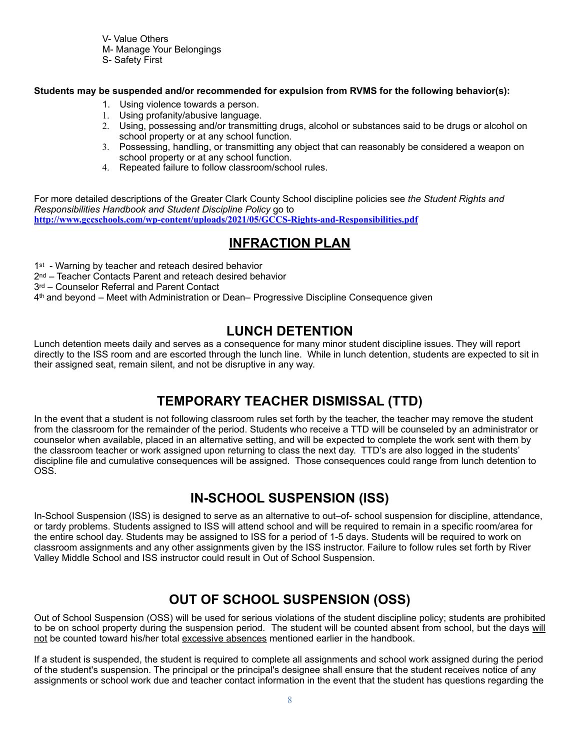V- Value Others M- Manage Your Belongings

S- Safety First

**Students may be suspended and/or recommended for expulsion from RVMS for the following behavior(s):**

- 1. Using violence towards a person.
- 1. Using profanity/abusive language.
- 2. Using, possessing and/or transmitting drugs, alcohol or substances said to be drugs or alcohol on school property or at any school function.
- 3. Possessing, handling, or transmitting any object that can reasonably be considered a weapon on school property or at any school function.
- 4. Repeated failure to follow classroom/school rules.

For more detailed descriptions of the Greater Clark County School discipline policies see *the Student Rights and Responsibilities Handbook and Student Discipline Policy* go to **<http://www.gccschools.com/wp-content/uploads/2021/05/GCCS-Rights-and-Responsibilities.pdf>**

## **INFRACTION PLAN**

1<sup>st</sup> - Warning by teacher and reteach desired behavior

2<sup>nd</sup> – Teacher Contacts Parent and reteach desired behavior

3rd - Counselor Referral and Parent Contact

4th and beyond – Meet with Administration or Dean– Progressive Discipline Consequence given

## **LUNCH DETENTION**

Lunch detention meets daily and serves as a consequence for many minor student discipline issues. They will report directly to the ISS room and are escorted through the lunch line. While in lunch detention, students are expected to sit in their assigned seat, remain silent, and not be disruptive in any way.

## **TEMPORARY TEACHER DISMISSAL (TTD)**

In the event that a student is not following classroom rules set forth by the teacher, the teacher may remove the student from the classroom for the remainder of the period. Students who receive a TTD will be counseled by an administrator or counselor when available, placed in an alternative setting, and will be expected to complete the work sent with them by the classroom teacher or work assigned upon returning to class the next day. TTD's are also logged in the students' discipline file and cumulative consequences will be assigned. Those consequences could range from lunch detention to OSS.

## **IN-SCHOOL SUSPENSION (ISS)**

In-School Suspension (ISS) is designed to serve as an alternative to out–of- school suspension for discipline, attendance, or tardy problems. Students assigned to ISS will attend school and will be required to remain in a specific room/area for the entire school day. Students may be assigned to ISS for a period of 1-5 days. Students will be required to work on classroom assignments and any other assignments given by the ISS instructor. Failure to follow rules set forth by River Valley Middle School and ISS instructor could result in Out of School Suspension.

## **OUT OF SCHOOL SUSPENSION (OSS)**

Out of School Suspension (OSS) will be used for serious violations of the student discipline policy; students are prohibited to be on school property during the suspension period. The student will be counted absent from school, but the days will not be counted toward his/her total excessive absences mentioned earlier in the handbook.

If a student is suspended, the student is required to complete all assignments and school work assigned during the period of the student's suspension. The principal or the principal's designee shall ensure that the student receives notice of any assignments or school work due and teacher contact information in the event that the student has questions regarding the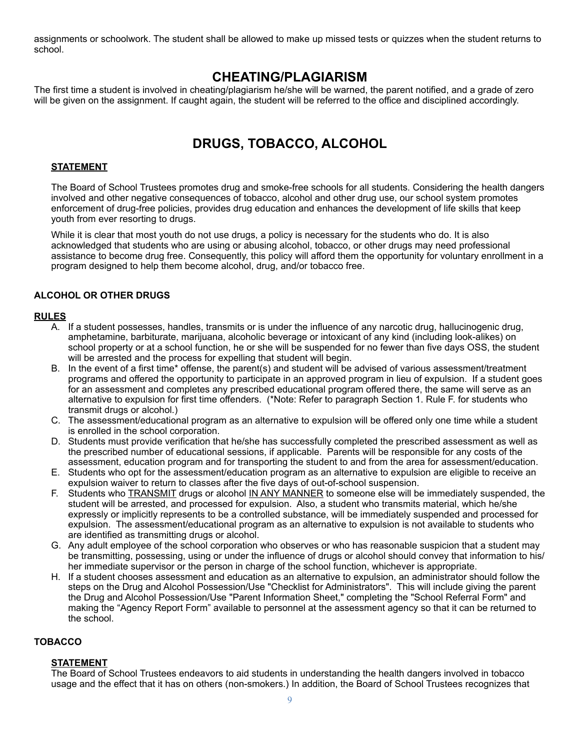assignments or schoolwork. The student shall be allowed to make up missed tests or quizzes when the student returns to school.

### **CHEATING/PLAGIARISM**

The first time a student is involved in cheating/plagiarism he/she will be warned, the parent notified, and a grade of zero will be given on the assignment. If caught again, the student will be referred to the office and disciplined accordingly.

## **DRUGS, TOBACCO, ALCOHOL**

#### **STATEMENT**

The Board of School Trustees promotes drug and smoke-free schools for all students. Considering the health dangers involved and other negative consequences of tobacco, alcohol and other drug use, our school system promotes enforcement of drug-free policies, provides drug education and enhances the development of life skills that keep youth from ever resorting to drugs.

While it is clear that most youth do not use drugs, a policy is necessary for the students who do. It is also acknowledged that students who are using or abusing alcohol, tobacco, or other drugs may need professional assistance to become drug free. Consequently, this policy will afford them the opportunity for voluntary enrollment in a program designed to help them become alcohol, drug, and/or tobacco free.

#### **ALCOHOL OR OTHER DRUGS**

#### **RULES**

- A. If a student possesses, handles, transmits or is under the influence of any narcotic drug, hallucinogenic drug, amphetamine, barbiturate, marijuana, alcoholic beverage or intoxicant of any kind (including look-alikes) on school property or at a school function, he or she will be suspended for no fewer than five days OSS, the student will be arrested and the process for expelling that student will begin.
- B. In the event of a first time\* offense, the parent(s) and student will be advised of various assessment/treatment programs and offered the opportunity to participate in an approved program in lieu of expulsion. If a student goes for an assessment and completes any prescribed educational program offered there, the same will serve as an alternative to expulsion for first time offenders. (\*Note: Refer to paragraph Section 1. Rule F. for students who transmit drugs or alcohol.)
- C. The assessment/educational program as an alternative to expulsion will be offered only one time while a student is enrolled in the school corporation.
- D. Students must provide verification that he/she has successfully completed the prescribed assessment as well as the prescribed number of educational sessions, if applicable. Parents will be responsible for any costs of the assessment, education program and for transporting the student to and from the area for assessment/education.
- E. Students who opt for the assessment/education program as an alternative to expulsion are eligible to receive an expulsion waiver to return to classes after the five days of out-of-school suspension.
- F. Students who TRANSMIT drugs or alcohol IN ANY MANNER to someone else will be immediately suspended, the student will be arrested, and processed for expulsion. Also, a student who transmits material, which he/she expressly or implicitly represents to be a controlled substance, will be immediately suspended and processed for expulsion. The assessment/educational program as an alternative to expulsion is not available to students who are identified as transmitting drugs or alcohol.
- G. Any adult employee of the school corporation who observes or who has reasonable suspicion that a student may be transmitting, possessing, using or under the influence of drugs or alcohol should convey that information to his/ her immediate supervisor or the person in charge of the school function, whichever is appropriate.
- H. If a student chooses assessment and education as an alternative to expulsion, an administrator should follow the steps on the Drug and Alcohol Possession/Use "Checklist for Administrators". This will include giving the parent the Drug and Alcohol Possession/Use "Parent Information Sheet," completing the "School Referral Form" and making the "Agency Report Form" available to personnel at the assessment agency so that it can be returned to the school.

#### **TOBACCO**

#### **STATEMENT**

The Board of School Trustees endeavors to aid students in understanding the health dangers involved in tobacco usage and the effect that it has on others (non-smokers.) In addition, the Board of School Trustees recognizes that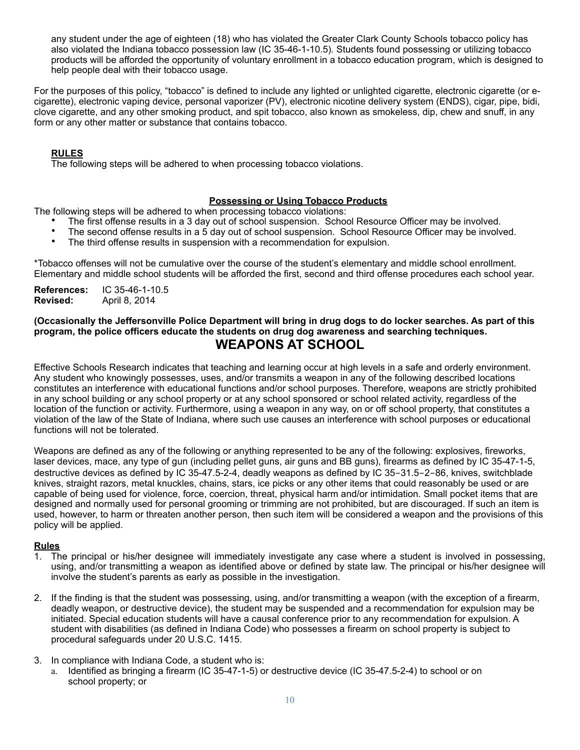any student under the age of eighteen (18) who has violated the Greater Clark County Schools tobacco policy has also violated the Indiana tobacco possession law (IC 35-46-1-10.5)*.* Students found possessing or utilizing tobacco products will be afforded the opportunity of voluntary enrollment in a tobacco education program, which is designed to help people deal with their tobacco usage.

For the purposes of this policy, "tobacco" is defined to include any lighted or unlighted cigarette, electronic cigarette (or ecigarette), electronic vaping device, personal vaporizer (PV), electronic nicotine delivery system (ENDS), cigar, pipe, bidi, clove cigarette, and any other smoking product, and spit tobacco, also known as smokeless, dip, chew and snuff, in any form or any other matter or substance that contains tobacco.

#### **RULES**

The following steps will be adhered to when processing tobacco violations.

#### **Possessing or Using Tobacco Products**

The following steps will be adhered to when processing tobacco violations:

- The first offense results in a 3 day out of school suspension. School Resource Officer may be involved.<br>• The second offense results in a 5 day out of school suspension. School Resource Officer may be involved.
- The second offense results in a 5 day out of school suspension. School Resource Officer may be involved.
- The third offense results in suspension with a recommendation for expulsion.

\*Tobacco offenses will not be cumulative over the course of the student's elementary and middle school enrollment. Elementary and middle school students will be afforded the first, second and third offense procedures each school year.

**References:** IC 35-46-1-10.5 **Revised:** April 8, 2014

#### **(Occasionally the Jeffersonville Police Department will bring in drug dogs to do locker searches. As part of this program, the police officers educate the students on drug dog awareness and searching techniques. WEAPONS AT SCHOOL**

Effective Schools Research indicates that teaching and learning occur at high levels in a safe and orderly environment. Any student who knowingly possesses, uses, and/or transmits a weapon in any of the following described locations constitutes an interference with educational functions and/or school purposes. Therefore, weapons are strictly prohibited in any school building or any school property or at any school sponsored or school related activity, regardless of the location of the function or activity. Furthermore, using a weapon in any way, on or off school property, that constitutes a violation of the law of the State of Indiana, where such use causes an interference with school purposes or educational functions will not be tolerated.

Weapons are defined as any of the following or anything represented to be any of the following: explosives, fireworks, laser devices, mace, any type of gun (including pellet guns, air guns and BB guns), firearms as defined by IC 35-47-1-5, destructive devices as defined by IC 35-47.5-2-4, deadly weapons as defined by IC 35-31.5-2-86, knives, switchblade knives, straight razors, metal knuckles, chains, stars, ice picks or any other items that could reasonably be used or are capable of being used for violence, force, coercion, threat, physical harm and/or intimidation. Small pocket items that are designed and normally used for personal grooming or trimming are not prohibited, but are discouraged. If such an item is used, however, to harm or threaten another person, then such item will be considered a weapon and the provisions of this policy will be applied.

#### **Rules**

- 1. The principal or his/her designee will immediately investigate any case where a student is involved in possessing, using, and/or transmitting a weapon as identified above or defined by state law. The principal or his/her designee will involve the student's parents as early as possible in the investigation.
- 2. If the finding is that the student was possessing, using, and/or transmitting a weapon (with the exception of a firearm, deadly weapon, or destructive device), the student may be suspended and a recommendation for expulsion may be initiated. Special education students will have a causal conference prior to any recommendation for expulsion. A student with disabilities (as defined in Indiana Code) who possesses a firearm on school property is subject to procedural safeguards under 20 U.S.C. 1415.
- 3. In compliance with Indiana Code, a student who is:
	- a. Identified as bringing a firearm (IC 35-47-1-5) or destructive device (IC 35-47.5-2-4) to school or on school property; or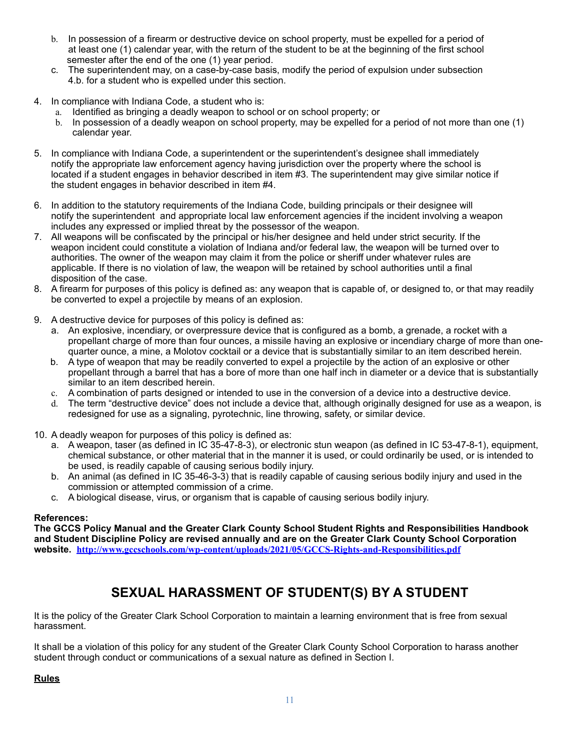- b. In possession of a firearm or destructive device on school property, must be expelled for a period of at least one (1) calendar year, with the return of the student to be at the beginning of the first school semester after the end of the one (1) year period.
- c. The superintendent may, on a case-by-case basis, modify the period of expulsion under subsection 4.b. for a student who is expelled under this section.
- 4. In compliance with Indiana Code, a student who is:
	- a. Identified as bringing a deadly weapon to school or on school property; or
	- b. In possession of a deadly weapon on school property, may be expelled for a period of not more than one (1) calendar year.
- 5. In compliance with Indiana Code, a superintendent or the superintendent's designee shall immediately notify the appropriate law enforcement agency having jurisdiction over the property where the school is located if a student engages in behavior described in item #3. The superintendent may give similar notice if the student engages in behavior described in item #4.
- 6. In addition to the statutory requirements of the Indiana Code, building principals or their designee will notify the superintendent and appropriate local law enforcement agencies if the incident involving a weapon includes any expressed or implied threat by the possessor of the weapon.
- 7. All weapons will be confiscated by the principal or his/her designee and held under strict security. If the weapon incident could constitute a violation of Indiana and/or federal law, the weapon will be turned over to authorities. The owner of the weapon may claim it from the police or sheriff under whatever rules are applicable. If there is no violation of law, the weapon will be retained by school authorities until a final disposition of the case.
- 8. A firearm for purposes of this policy is defined as: any weapon that is capable of, or designed to, or that may readily be converted to expel a projectile by means of an explosion.
- 9. A destructive device for purposes of this policy is defined as:
	- a. An explosive, incendiary, or overpressure device that is configured as a bomb, a grenade, a rocket with a propellant charge of more than four ounces, a missile having an explosive or incendiary charge of more than onequarter ounce, a mine, a Molotov cocktail or a device that is substantially similar to an item described herein.
	- b. A type of weapon that may be readily converted to expel a projectile by the action of an explosive or other propellant through a barrel that has a bore of more than one half inch in diameter or a device that is substantially similar to an item described herein.
	- c. A combination of parts designed or intended to use in the conversion of a device into a destructive device.
	- d. The term "destructive device" does not include a device that, although originally designed for use as a weapon, is redesigned for use as a signaling, pyrotechnic, line throwing, safety, or similar device.
- 10. A deadly weapon for purposes of this policy is defined as:
	- a. A weapon, taser (as defined in IC 35-47-8-3), or electronic stun weapon (as defined in IC 53-47-8-1), equipment, chemical substance, or other material that in the manner it is used, or could ordinarily be used, or is intended to be used, is readily capable of causing serious bodily injury.
	- b. An animal (as defined in IC 35-46-3-3) that is readily capable of causing serious bodily injury and used in the commission or attempted commission of a crime.
	- c. A biological disease, virus, or organism that is capable of causing serious bodily injury.

#### **References:**

**The GCCS Policy Manual and the Greater Clark County School Student Rights and Responsibilities Handbook and Student Discipline Policy are revised annually and are on the Greater Clark County School Corporation website. <http://www.gccschools.com/wp-content/uploads/2021/05/GCCS-Rights-and-Responsibilities.pdf>**

## **SEXUAL HARASSMENT OF STUDENT(S) BY A STUDENT**

It is the policy of the Greater Clark School Corporation to maintain a learning environment that is free from sexual harassment.

It shall be a violation of this policy for any student of the Greater Clark County School Corporation to harass another student through conduct or communications of a sexual nature as defined in Section I.

**Rules**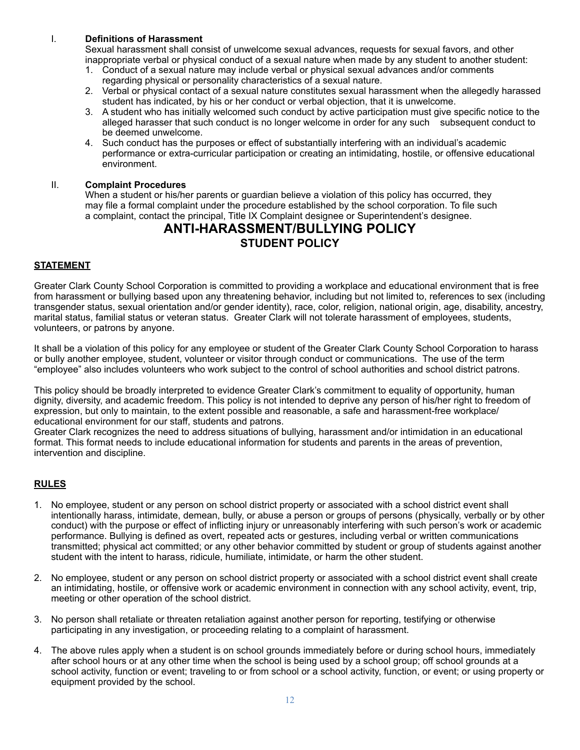#### I. **Definitions of Harassment**

Sexual harassment shall consist of unwelcome sexual advances, requests for sexual favors, and other inappropriate verbal or physical conduct of a sexual nature when made by any student to another student:

- 1. Conduct of a sexual nature may include verbal or physical sexual advances and/or comments regarding physical or personality characteristics of a sexual nature.
- 2. Verbal or physical contact of a sexual nature constitutes sexual harassment when the allegedly harassed student has indicated, by his or her conduct or verbal objection, that it is unwelcome.
- 3. A student who has initially welcomed such conduct by active participation must give specific notice to the alleged harasser that such conduct is no longer welcome in order for any such subsequent conduct to be deemed unwelcome.
- 4. Such conduct has the purposes or effect of substantially interfering with an individual's academic performance or extra-curricular participation or creating an intimidating, hostile, or offensive educational environment.

#### II. **Complaint Procedures**

When a student or his/her parents or quardian believe a violation of this policy has occurred, they may file a formal complaint under the procedure established by the school corporation. To file such a complaint, contact the principal, Title IX Complaint designee or Superintendent's designee.

#### **ANTI-HARASSMENT/BULLYING POLICY STUDENT POLICY**

#### **STATEMENT**

Greater Clark County School Corporation is committed to providing a workplace and educational environment that is free from harassment or bullying based upon any threatening behavior, including but not limited to, references to sex (including transgender status, sexual orientation and/or gender identity), race, color, religion, national origin, age, disability, ancestry, marital status, familial status or veteran status. Greater Clark will not tolerate harassment of employees, students, volunteers, or patrons by anyone.

It shall be a violation of this policy for any employee or student of the Greater Clark County School Corporation to harass or bully another employee, student, volunteer or visitor through conduct or communications. The use of the term "employee" also includes volunteers who work subject to the control of school authorities and school district patrons.

This policy should be broadly interpreted to evidence Greater Clark's commitment to equality of opportunity, human dignity, diversity, and academic freedom. This policy is not intended to deprive any person of his/her right to freedom of expression, but only to maintain, to the extent possible and reasonable, a safe and harassment-free workplace/ educational environment for our staff, students and patrons.

Greater Clark recognizes the need to address situations of bullying, harassment and/or intimidation in an educational format. This format needs to include educational information for students and parents in the areas of prevention, intervention and discipline.

#### **RULES**

- 1. No employee, student or any person on school district property or associated with a school district event shall intentionally harass, intimidate, demean, bully, or abuse a person or groups of persons (physically, verbally or by other conduct) with the purpose or effect of inflicting injury or unreasonably interfering with such person's work or academic performance. Bullying is defined as overt, repeated acts or gestures, including verbal or written communications transmitted; physical act committed; or any other behavior committed by student or group of students against another student with the intent to harass, ridicule, humiliate, intimidate, or harm the other student.
- 2. No employee, student or any person on school district property or associated with a school district event shall create an intimidating, hostile, or offensive work or academic environment in connection with any school activity, event, trip, meeting or other operation of the school district.
- 3. No person shall retaliate or threaten retaliation against another person for reporting, testifying or otherwise participating in any investigation, or proceeding relating to a complaint of harassment.
- 4. The above rules apply when a student is on school grounds immediately before or during school hours, immediately after school hours or at any other time when the school is being used by a school group; off school grounds at a school activity, function or event; traveling to or from school or a school activity, function, or event; or using property or equipment provided by the school.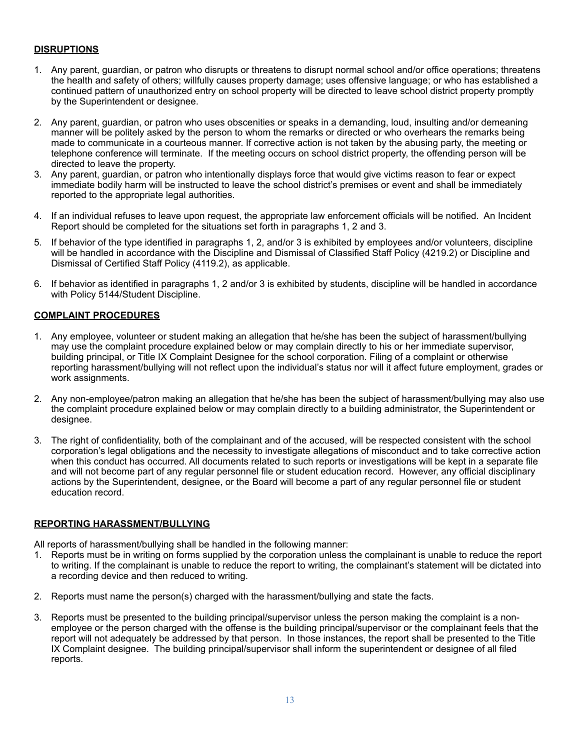#### **DISRUPTIONS**

- 1. Any parent, guardian, or patron who disrupts or threatens to disrupt normal school and/or office operations; threatens the health and safety of others; willfully causes property damage; uses offensive language; or who has established a continued pattern of unauthorized entry on school property will be directed to leave school district property promptly by the Superintendent or designee.
- 2. Any parent, guardian, or patron who uses obscenities or speaks in a demanding, loud, insulting and/or demeaning manner will be politely asked by the person to whom the remarks or directed or who overhears the remarks being made to communicate in a courteous manner. If corrective action is not taken by the abusing party, the meeting or telephone conference will terminate. If the meeting occurs on school district property, the offending person will be directed to leave the property.
- 3. Any parent, guardian, or patron who intentionally displays force that would give victims reason to fear or expect immediate bodily harm will be instructed to leave the school district's premises or event and shall be immediately reported to the appropriate legal authorities.
- 4. If an individual refuses to leave upon request, the appropriate law enforcement officials will be notified. An Incident Report should be completed for the situations set forth in paragraphs 1, 2 and 3.
- 5. If behavior of the type identified in paragraphs 1, 2, and/or 3 is exhibited by employees and/or volunteers, discipline will be handled in accordance with the Discipline and Dismissal of Classified Staff Policy (4219.2) or Discipline and Dismissal of Certified Staff Policy (4119.2), as applicable.
- 6. If behavior as identified in paragraphs 1, 2 and/or 3 is exhibited by students, discipline will be handled in accordance with Policy 5144/Student Discipline.

#### **COMPLAINT PROCEDURES**

- 1. Any employee, volunteer or student making an allegation that he/she has been the subject of harassment/bullying may use the complaint procedure explained below or may complain directly to his or her immediate supervisor, building principal, or Title IX Complaint Designee for the school corporation. Filing of a complaint or otherwise reporting harassment/bullying will not reflect upon the individual's status nor will it affect future employment, grades or work assignments.
- 2. Any non-employee/patron making an allegation that he/she has been the subject of harassment/bullying may also use the complaint procedure explained below or may complain directly to a building administrator, the Superintendent or designee.
- 3. The right of confidentiality, both of the complainant and of the accused, will be respected consistent with the school corporation's legal obligations and the necessity to investigate allegations of misconduct and to take corrective action when this conduct has occurred. All documents related to such reports or investigations will be kept in a separate file and will not become part of any regular personnel file or student education record. However, any official disciplinary actions by the Superintendent, designee, or the Board will become a part of any regular personnel file or student education record.

#### **REPORTING HARASSMENT/BULLYING**

All reports of harassment/bullying shall be handled in the following manner:

- 1. Reports must be in writing on forms supplied by the corporation unless the complainant is unable to reduce the report to writing. If the complainant is unable to reduce the report to writing, the complainant's statement will be dictated into a recording device and then reduced to writing.
- 2. Reports must name the person(s) charged with the harassment/bullying and state the facts.
- 3. Reports must be presented to the building principal/supervisor unless the person making the complaint is a nonemployee or the person charged with the offense is the building principal/supervisor or the complainant feels that the report will not adequately be addressed by that person. In those instances, the report shall be presented to the Title IX Complaint designee. The building principal/supervisor shall inform the superintendent or designee of all filed reports.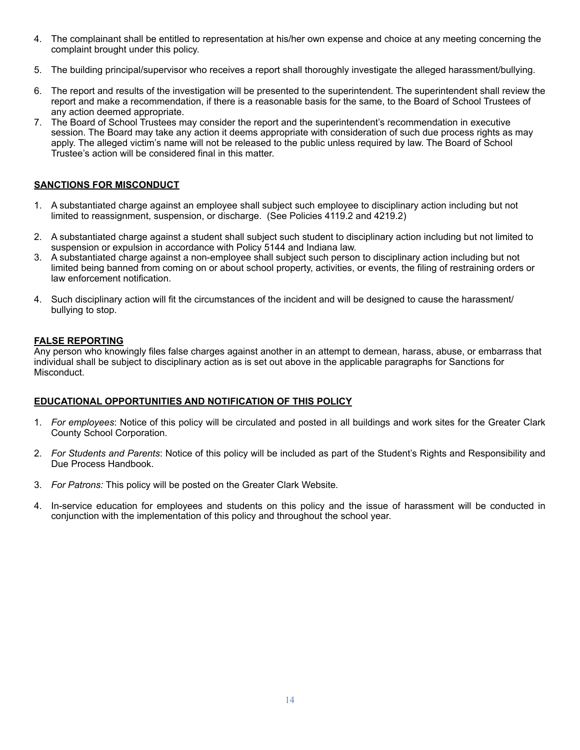- 4. The complainant shall be entitled to representation at his/her own expense and choice at any meeting concerning the complaint brought under this policy.
- 5. The building principal/supervisor who receives a report shall thoroughly investigate the alleged harassment/bullying.
- 6. The report and results of the investigation will be presented to the superintendent. The superintendent shall review the report and make a recommendation, if there is a reasonable basis for the same, to the Board of School Trustees of any action deemed appropriate.
- 7. The Board of School Trustees may consider the report and the superintendent's recommendation in executive session. The Board may take any action it deems appropriate with consideration of such due process rights as may apply. The alleged victim's name will not be released to the public unless required by law. The Board of School Trustee's action will be considered final in this matter.

#### **SANCTIONS FOR MISCONDUCT**

- 1. A substantiated charge against an employee shall subject such employee to disciplinary action including but not limited to reassignment, suspension, or discharge. (See Policies 4119.2 and 4219.2)
- 2. A substantiated charge against a student shall subject such student to disciplinary action including but not limited to suspension or expulsion in accordance with Policy 5144 and Indiana law.
- 3. A substantiated charge against a non-employee shall subject such person to disciplinary action including but not limited being banned from coming on or about school property, activities, or events, the filing of restraining orders or law enforcement notification.
- 4. Such disciplinary action will fit the circumstances of the incident and will be designed to cause the harassment/ bullying to stop.

#### **FALSE REPORTING**

Any person who knowingly files false charges against another in an attempt to demean, harass, abuse, or embarrass that individual shall be subject to disciplinary action as is set out above in the applicable paragraphs for Sanctions for Misconduct.

#### **EDUCATIONAL OPPORTUNITIES AND NOTIFICATION OF THIS POLICY**

- 1. *For employees*: Notice of this policy will be circulated and posted in all buildings and work sites for the Greater Clark County School Corporation.
- 2. *For Students and Parents*: Notice of this policy will be included as part of the Student's Rights and Responsibility and Due Process Handbook.
- 3. *For Patrons:* This policy will be posted on the Greater Clark Website*.*
- 4. In-service education for employees and students on this policy and the issue of harassment will be conducted in conjunction with the implementation of this policy and throughout the school year.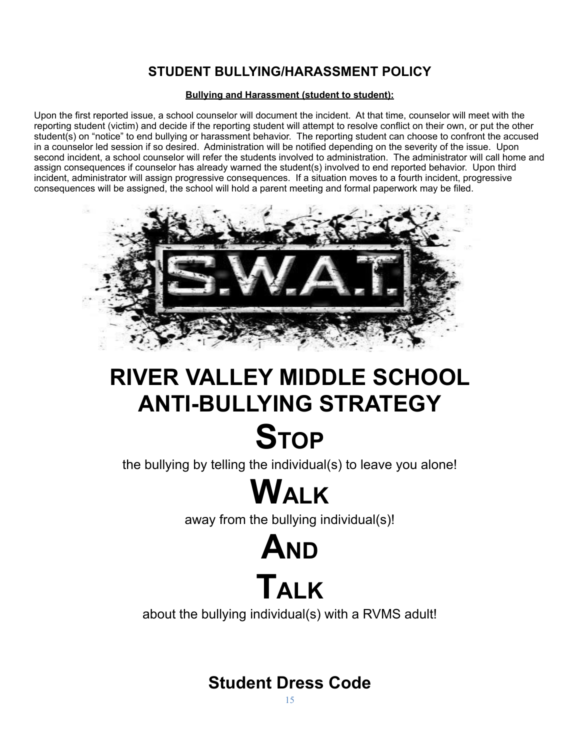## **STUDENT BULLYING/HARASSMENT POLICY**

#### **Bullying and Harassment (student to student):**

Upon the first reported issue, a school counselor will document the incident. At that time, counselor will meet with the reporting student (victim) and decide if the reporting student will attempt to resolve conflict on their own, or put the other student(s) on "notice" to end bullying or harassment behavior. The reporting student can choose to confront the accused in a counselor led session if so desired. Administration will be notified depending on the severity of the issue. Upon second incident, a school counselor will refer the students involved to administration. The administrator will call home and assign consequences if counselor has already warned the student(s) involved to end reported behavior. Upon third incident, administrator will assign progressive consequences. If a situation moves to a fourth incident, progressive consequences will be assigned, the school will hold a parent meeting and formal paperwork may be filed.



# **RIVER VALLEY MIDDLE SCHOOL ANTI-BULLYING STRATEGY STOP**

the bullying by telling the individual(s) to leave you alone!

# **WALK**

away from the bullying individual(s)!

# **AND TALK**

about the bullying individual(s) with a RVMS adult!

## **Student Dress Code**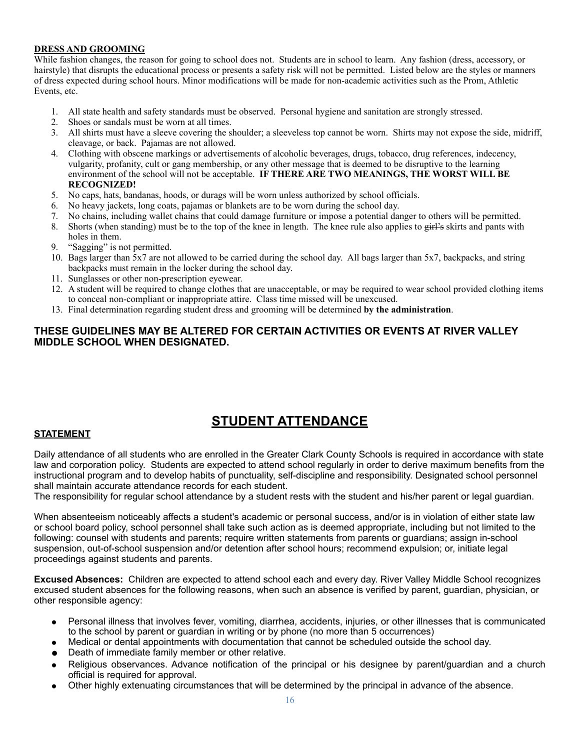#### **DRESS AND GROOMING**

While fashion changes, the reason for going to school does not. Students are in school to learn. Any fashion (dress, accessory, or hairstyle) that disrupts the educational process or presents a safety risk will not be permitted. Listed below are the styles or manners of dress expected during school hours. Minor modifications will be made for non-academic activities such as the Prom, Athletic Events, etc.

- 1. All state health and safety standards must be observed. Personal hygiene and sanitation are strongly stressed.
- 2. Shoes or sandals must be worn at all times.
- 3. All shirts must have a sleeve covering the shoulder; a sleeveless top cannot be worn. Shirts may not expose the side, midriff, cleavage, or back. Pajamas are not allowed.
- 4. Clothing with obscene markings or advertisements of alcoholic beverages, drugs, tobacco, drug references, indecency, vulgarity, profanity, cult or gang membership, or any other message that is deemed to be disruptive to the learning environment of the school will not be acceptable. **IF THERE ARE TWO MEANINGS, THE WORST WILL BE RECOGNIZED!**
- 5. No caps, hats, bandanas, hoods, or durags will be worn unless authorized by school officials.
- 6. No heavy jackets, long coats, pajamas or blankets are to be worn during the school day.
- 7. No chains, including wallet chains that could damage furniture or impose a potential danger to others will be permitted.
- 8. Shorts (when standing) must be to the top of the knee in length. The knee rule also applies to girl's skirts and pants with holes in them.
- 9. "Sagging" is not permitted.
- 10. Bags larger than 5x7 are not allowed to be carried during the school day. All bags larger than 5x7, backpacks, and string backpacks must remain in the locker during the school day.
- 11. Sunglasses or other non-prescription eyewear.
- 12. A student will be required to change clothes that are unacceptable, or may be required to wear school provided clothing items to conceal non-compliant or inappropriate attire. Class time missed will be unexcused.
- 13. Final determination regarding student dress and grooming will be determined **by the administration**.

#### **THESE GUIDELINES MAY BE ALTERED FOR CERTAIN ACTIVITIES OR EVENTS AT RIVER VALLEY MIDDLE SCHOOL WHEN DESIGNATED.**

## **STUDENT ATTENDANCE**

#### **STATEMENT**

Daily attendance of all students who are enrolled in the Greater Clark County Schools is required in accordance with state law and corporation policy. Students are expected to attend school regularly in order to derive maximum benefits from the instructional program and to develop habits of punctuality, self-discipline and responsibility. Designated school personnel shall maintain accurate attendance records for each student.

The responsibility for regular school attendance by a student rests with the student and his/her parent or legal guardian.

When absenteeism noticeably affects a student's academic or personal success, and/or is in violation of either state law or school board policy, school personnel shall take such action as is deemed appropriate, including but not limited to the following: counsel with students and parents; require written statements from parents or guardians; assign in-school suspension, out-of-school suspension and/or detention after school hours; recommend expulsion; or, initiate legal proceedings against students and parents.

**Excused Absences:** Children are expected to attend school each and every day. River Valley Middle School recognizes excused student absences for the following reasons, when such an absence is verified by parent, guardian, physician, or other responsible agency:

- Personal illness that involves fever, vomiting, diarrhea, accidents, injuries, or other illnesses that is communicated to the school by parent or guardian in writing or by phone (no more than 5 occurrences)
- Medical or dental appointments with documentation that cannot be scheduled outside the school day.
- Death of immediate family member or other relative.
- Religious observances. Advance notification of the principal or his designee by parent/guardian and a church official is required for approval.
- Other highly extenuating circumstances that will be determined by the principal in advance of the absence.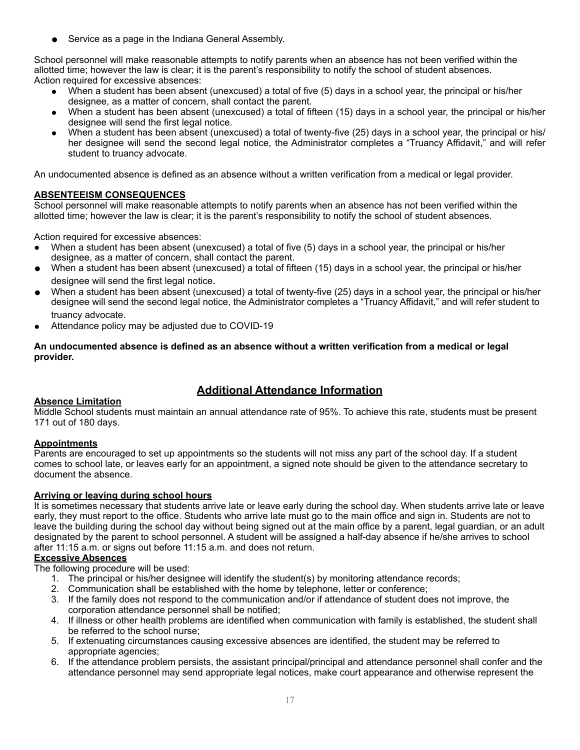Service as a page in the Indiana General Assembly.

School personnel will make reasonable attempts to notify parents when an absence has not been verified within the allotted time; however the law is clear; it is the parent's responsibility to notify the school of student absences. Action required for excessive absences:

- When a student has been absent (unexcused) a total of five (5) days in a school year, the principal or his/her designee, as a matter of concern, shall contact the parent.
- When a student has been absent (unexcused) a total of fifteen (15) days in a school year, the principal or his/her designee will send the first legal notice.
- When a student has been absent (unexcused) a total of twenty-five (25) days in a school year, the principal or his/ her designee will send the second legal notice, the Administrator completes a "Truancy Affidavit," and will refer student to truancy advocate.

An undocumented absence is defined as an absence without a written verification from a medical or legal provider.

#### **ABSENTEEISM CONSEQUENCES**

School personnel will make reasonable attempts to notify parents when an absence has not been verified within the allotted time; however the law is clear; it is the parent's responsibility to notify the school of student absences.

Action required for excessive absences:

- When a student has been absent (unexcused) a total of five (5) days in a school year, the principal or his/her designee, as a matter of concern, shall contact the parent.
- When a student has been absent (unexcused) a total of fifteen (15) days in a school year, the principal or his/her designee will send the first legal notice.
- When a student has been absent (unexcused) a total of twenty-five (25) days in a school year, the principal or his/her designee will send the second legal notice, the Administrator completes a "Truancy Affidavit," and will refer student to truancy advocate.
- Attendance policy may be adjusted due to COVID-19

#### **An undocumented absence is defined as an absence without a written verification from a medical or legal provider.**

### **Additional Attendance Information**

#### **Absence Limitation**

Middle School students must maintain an annual attendance rate of 95%. To achieve this rate, students must be present 171 out of 180 days.

#### **Appointments**

Parents are encouraged to set up appointments so the students will not miss any part of the school day. If a student comes to school late, or leaves early for an appointment, a signed note should be given to the attendance secretary to document the absence.

#### **Arriving or leaving during school hours**

It is sometimes necessary that students arrive late or leave early during the school day. When students arrive late or leave early, they must report to the office. Students who arrive late must go to the main office and sign in. Students are not to leave the building during the school day without being signed out at the main office by a parent, legal guardian, or an adult designated by the parent to school personnel. A student will be assigned a half-day absence if he/she arrives to school after 11:15 a.m. or signs out before 11:15 a.m. and does not return.

#### **Excessive Absences**

The following procedure will be used:

- 1. The principal or his/her designee will identify the student(s) by monitoring attendance records;
- 2. Communication shall be established with the home by telephone, letter or conference;
- 3. If the family does not respond to the communication and/or if attendance of student does not improve, the corporation attendance personnel shall be notified;
- 4. If illness or other health problems are identified when communication with family is established, the student shall be referred to the school nurse;
- 5. If extenuating circumstances causing excessive absences are identified, the student may be referred to appropriate agencies;
- 6. If the attendance problem persists, the assistant principal/principal and attendance personnel shall confer and the attendance personnel may send appropriate legal notices, make court appearance and otherwise represent the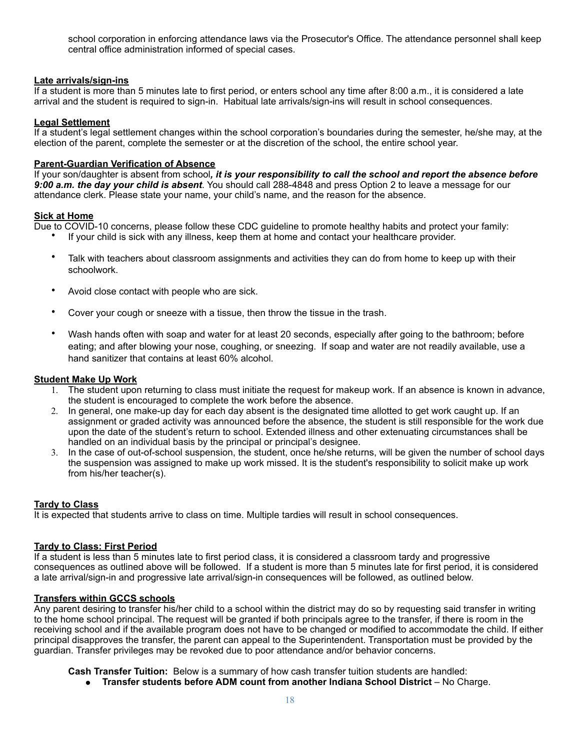school corporation in enforcing attendance laws via the Prosecutor's Office. The attendance personnel shall keep central office administration informed of special cases.

#### **Late arrivals/sign-ins**

If a student is more than 5 minutes late to first period, or enters school any time after 8:00 a.m., it is considered a late arrival and the student is required to sign-in. Habitual late arrivals/sign-ins will result in school consequences.

#### **Legal Settlement**

If a student's legal settlement changes within the school corporation's boundaries during the semester, he/she may, at the election of the parent, complete the semester or at the discretion of the school, the entire school year.

#### **Parent-Guardian Verification of Absence**

If your son/daughter is absent from school*, it is your responsibility to call the school and report the absence before 9:00 a.m. the day your child is absent*. You should call 288-4848 and press Option 2 to leave a message for our attendance clerk. Please state your name, your child's name, and the reason for the absence.

#### **Sick at Home**

Due to COVID-10 concerns, please follow these CDC guideline to promote healthy habits and protect your family:

- If your child is sick with any illness, keep them at home and contact your healthcare provider.
- Talk with teachers about classroom assignments and activities they can do from home to keep up with their schoolwork.
- Avoid close contact with people who are sick.
- Cover your cough or sneeze with a tissue, then throw the tissue in the trash.
- Wash hands often with soap and water for at least 20 seconds, especially after going to the bathroom; before eating; and after blowing your nose, coughing, or sneezing. If soap and water are not readily available, use a hand sanitizer that contains at least 60% alcohol.

#### **Student Make Up Work**

- 1. The student upon returning to class must initiate the request for makeup work. If an absence is known in advance, the student is encouraged to complete the work before the absence.
- 2. In general, one make-up day for each day absent is the designated time allotted to get work caught up. If an assignment or graded activity was announced before the absence, the student is still responsible for the work due upon the date of the student's return to school. Extended illness and other extenuating circumstances shall be handled on an individual basis by the principal or principal's designee.
- 3. In the case of out-of-school suspension, the student, once he/she returns, will be given the number of school days the suspension was assigned to make up work missed. It is the student's responsibility to solicit make up work from his/her teacher(s).

#### **Tardy to Class**

It is expected that students arrive to class on time. Multiple tardies will result in school consequences.

#### **Tardy to Class: First Period**

If a student is less than 5 minutes late to first period class, it is considered a classroom tardy and progressive consequences as outlined above will be followed. If a student is more than 5 minutes late for first period, it is considered a late arrival/sign-in and progressive late arrival/sign-in consequences will be followed, as outlined below.

#### **Transfers within GCCS schools**

Any parent desiring to transfer his/her child to a school within the district may do so by requesting said transfer in writing to the home school principal. The request will be granted if both principals agree to the transfer, if there is room in the receiving school and if the available program does not have to be changed or modified to accommodate the child. If either principal disapproves the transfer, the parent can appeal to the Superintendent. Transportation must be provided by the guardian. Transfer privileges may be revoked due to poor attendance and/or behavior concerns.

**Cash Transfer Tuition:** Below is a summary of how cash transfer tuition students are handled:

● **Transfer students before ADM count from another Indiana School District** – No Charge.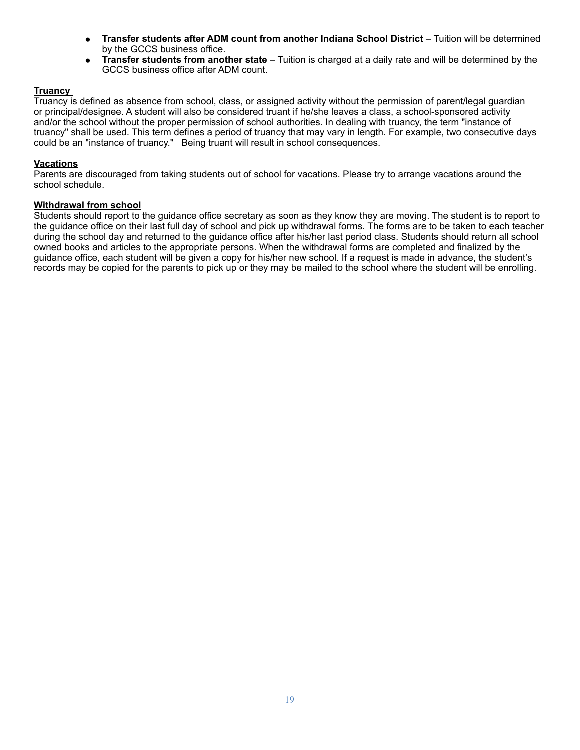- **Transfer students after ADM count from another Indiana School District**  Tuition will be determined by the GCCS business office.
- **Transfer students from another state**  Tuition is charged at a daily rate and will be determined by the GCCS business office after ADM count.

#### **Truancy**

Truancy is defined as absence from school, class, or assigned activity without the permission of parent/legal guardian or principal/designee. A student will also be considered truant if he/she leaves a class, a school-sponsored activity and/or the school without the proper permission of school authorities. In dealing with truancy, the term "instance of truancy" shall be used. This term defines a period of truancy that may vary in length. For example, two consecutive days could be an "instance of truancy." Being truant will result in school consequences.

#### **Vacations**

Parents are discouraged from taking students out of school for vacations. Please try to arrange vacations around the school schedule.

#### **Withdrawal from school**

Students should report to the guidance office secretary as soon as they know they are moving. The student is to report to the guidance office on their last full day of school and pick up withdrawal forms. The forms are to be taken to each teacher during the school day and returned to the guidance office after his/her last period class. Students should return all school owned books and articles to the appropriate persons. When the withdrawal forms are completed and finalized by the guidance office, each student will be given a copy for his/her new school. If a request is made in advance, the student's records may be copied for the parents to pick up or they may be mailed to the school where the student will be enrolling.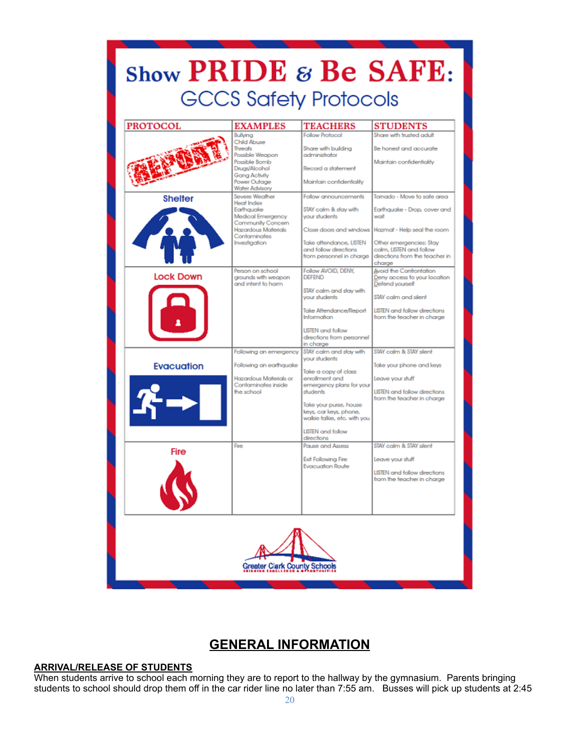| Show PRIDE $\varepsilon$ Be SAFE: | <b>GCCS Safety Protocols</b>                                                                                                                             |                                                                                                                                                                                                                                                                       |                                                                                                                                                                                                                             |
|-----------------------------------|----------------------------------------------------------------------------------------------------------------------------------------------------------|-----------------------------------------------------------------------------------------------------------------------------------------------------------------------------------------------------------------------------------------------------------------------|-----------------------------------------------------------------------------------------------------------------------------------------------------------------------------------------------------------------------------|
| <b>PROTOCOL</b>                   | <b>EXAMPLES</b>                                                                                                                                          | <b>TEACHERS</b>                                                                                                                                                                                                                                                       | <b>STUDENTS</b>                                                                                                                                                                                                             |
|                                   | Bullying<br><b>Child Abuse</b><br>Threats<br>Possible Weapon<br>Possible Bomb<br>Druas/Alcohol<br>Gang Activity<br>Power Outage<br><b>Water Advisory</b> | <b>Follow Protocol</b><br>Share with building<br>administrator<br>Record a statement<br>Maintain confidentiality                                                                                                                                                      | Share with trusted adult<br>Be honest and accurate<br>Maintain confidentiality                                                                                                                                              |
| <b>Shelter</b>                    | Severe Weather<br><b>Heat Index</b><br>Earthquake<br>Medical Emergency<br>Community Concern<br>Hazardous Materials<br>Contaminates<br>Investigation      | Follow announcements<br>STAY calm & slay with<br>your students<br>Take aftendance, LISTEN<br>and follow directions.<br>from personnel in charge                                                                                                                       | Tomado - Move to safe area<br>Earthquake - Drop, cover and<br>wait<br>Close doors and windows Hazmat - Help seal the room<br>Other emergencies: Stay<br>calm, LISTEN and follow<br>directions from the teacher in<br>charge |
| <b>Lock Down</b>                  | Person on school<br>grounds with weapon<br>and intent to harm.                                                                                           | Follow AVOID, DENY,<br><b>DEEEND</b><br>STAY calm and stay with<br>your students<br>Take Attendance/Report<br><b>Information</b><br><b>LISTEN</b> and follow<br>directions from personnel                                                                             | <b>Avoid the Confrontation</b><br>Deny access to your location<br>Defend yourself<br>STAY calm and slent<br><b>LISTEN</b> and follow directions<br>from the teacher in charge                                               |
| <b>Evacuation</b>                 | Following an emergency<br>Following an earthquake<br>Hazardous Materials or<br>Contaminates inside<br>the school                                         | in charge<br>STAY calm and stay with<br>vour students<br>Take a copy of class<br>enrollment and<br>emergency plans for your<br>students<br>Take your purse, house<br>keys, car keys, phone,<br>walkie talkie, etc. with you<br><b>LISTEN</b> and follow<br>directions | STAY calm & STAY silent<br>Take your phone and keys<br>Leave your stuff<br><b>LISTEN</b> and follow directions<br>from the teacher in charge                                                                                |
| Fire                              | Fire                                                                                                                                                     | <b>Pause and Assess</b><br><b>Exit Following Fire</b><br><b>Evacuation Route</b>                                                                                                                                                                                      | STAY colm & STAY slent<br>Leave your stuff<br><b>LISTEN</b> and follow directions<br>from the teacher in charge                                                                                                             |
| Greater Clark County Schools      |                                                                                                                                                          |                                                                                                                                                                                                                                                                       |                                                                                                                                                                                                                             |

## **GENERAL INFORMATION**

#### **ARRIVAL/RELEASE OF STUDENTS**

When students arrive to school each morning they are to report to the hallway by the gymnasium. Parents bringing students to school should drop them off in the car rider line no later than 7:55 am. Busses will pick up students at 2:45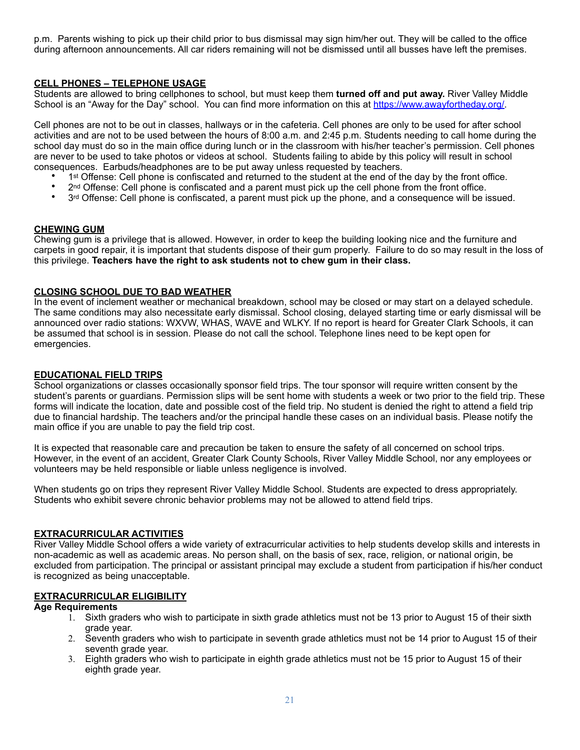p.m. Parents wishing to pick up their child prior to bus dismissal may sign him/her out. They will be called to the office during afternoon announcements. All car riders remaining will not be dismissed until all busses have left the premises.

#### **CELL PHONES – TELEPHONE USAGE**

Students are allowed to bring cellphones to school, but must keep them **turned off and put away.** River Valley Middle School is an "Away for the Day" school. You can find more information on this at https://www.awayfortheday.org/

Cell phones are not to be out in classes, hallways or in the cafeteria. Cell phones are only to be used for after school activities and are not to be used between the hours of 8:00 a.m. and 2:45 p.m. Students needing to call home during the school day must do so in the main office during lunch or in the classroom with his/her teacher's permission. Cell phones are never to be used to take photos or videos at school. Students failing to abide by this policy will result in school consequences. Earbuds/headphones are to be put away unless requested by teachers.

- 1st Offense: Cell phone is confiscated and returned to the student at the end of the day by the front office.<br>• 2nd Offense: Cell phone is confiscated and a parent must pick up the cell phone from the front office.
- 2<sup>nd</sup> Offense: Cell phone is confiscated and a parent must pick up the cell phone from the front office.
- 3<sup>rd</sup> Offense: Cell phone is confiscated, a parent must pick up the phone, and a consequence will be issued.

#### **CHEWING GUM**

Chewing gum is a privilege that is allowed. However, in order to keep the building looking nice and the furniture and carpets in good repair, it is important that students dispose of their gum properly. Failure to do so may result in the loss of this privilege. **Teachers have the right to ask students not to chew gum in their class.**

#### **CLOSING SCHOOL DUE TO BAD WEATHER**

In the event of inclement weather or mechanical breakdown, school may be closed or may start on a delayed schedule. The same conditions may also necessitate early dismissal. School closing, delayed starting time or early dismissal will be announced over radio stations: WXVW, WHAS, WAVE and WLKY. If no report is heard for Greater Clark Schools, it can be assumed that school is in session. Please do not call the school. Telephone lines need to be kept open for emergencies.

#### **EDUCATIONAL FIELD TRIPS**

School organizations or classes occasionally sponsor field trips. The tour sponsor will require written consent by the student's parents or guardians. Permission slips will be sent home with students a week or two prior to the field trip. These forms will indicate the location, date and possible cost of the field trip. No student is denied the right to attend a field trip due to financial hardship. The teachers and/or the principal handle these cases on an individual basis. Please notify the main office if you are unable to pay the field trip cost.

It is expected that reasonable care and precaution be taken to ensure the safety of all concerned on school trips. However, in the event of an accident, Greater Clark County Schools, River Valley Middle School, nor any employees or volunteers may be held responsible or liable unless negligence is involved.

When students go on trips they represent River Valley Middle School. Students are expected to dress appropriately. Students who exhibit severe chronic behavior problems may not be allowed to attend field trips.

#### **EXTRACURRICULAR ACTIVITIES**

River Valley Middle School offers a wide variety of extracurricular activities to help students develop skills and interests in non-academic as well as academic areas. No person shall, on the basis of sex, race, religion, or national origin, be excluded from participation. The principal or assistant principal may exclude a student from participation if his/her conduct is recognized as being unacceptable.

#### **EXTRACURRICULAR ELIGIBILITY**

#### **Age Requirements**

- 1. Sixth graders who wish to participate in sixth grade athletics must not be 13 prior to August 15 of their sixth grade year.
- 2. Seventh graders who wish to participate in seventh grade athletics must not be 14 prior to August 15 of their seventh grade year.
- 3. Eighth graders who wish to participate in eighth grade athletics must not be 15 prior to August 15 of their eighth grade year.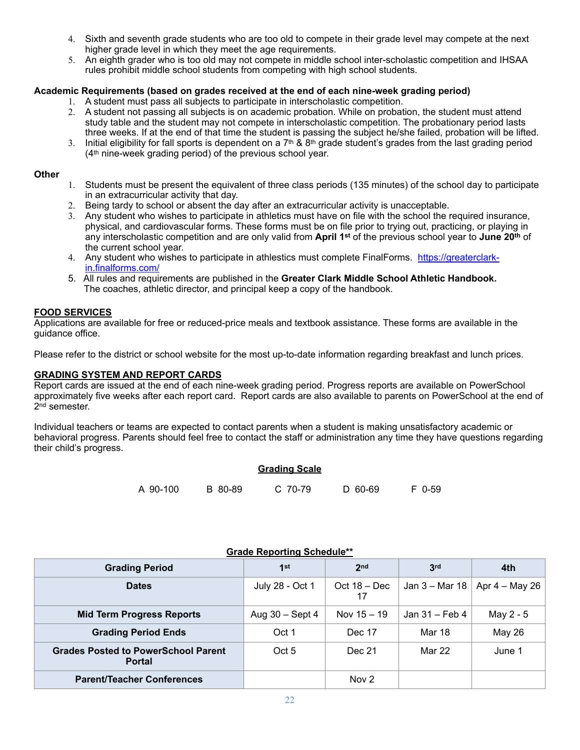- 4. Sixth and seventh grade students who are too old to compete in their grade level may compete at the next higher grade level in which they meet the age requirements.
- 5. An eighth grader who is too old may not compete in middle school inter-scholastic competition and IHSAA rules prohibit middle school students from competing with high school students.

#### **Academic Requirements (based on grades received at the end of each nine-week grading period)**

- 1. A student must pass all subjects to participate in interscholastic competition.
- 2. A student not passing all subjects is on academic probation. While on probation, the student must attend study table and the student may not compete in interscholastic competition. The probationary period lasts three weeks. If at the end of that time the student is passing the subject he/she failed, probation will be lifted.
- 3. Initial eligibility for fall sports is dependent on a  $7<sup>th</sup>$  & 8<sup>th</sup> grade student's grades from the last grading period (4th nine-week grading period) of the previous school year.

#### **Other**

- 1. Students must be present the equivalent of three class periods (135 minutes) of the school day to participate in an extracurricular activity that day.
- 2. Being tardy to school or absent the day after an extracurricular activity is unacceptable.
- 3. Any student who wishes to participate in athletics must have on file with the school the required insurance, physical, and cardiovascular forms. These forms must be on file prior to trying out, practicing, or playing in any interscholastic competition and are only valid from **April 1st** of the previous school year to **June 20th** of the current school year.
- 4. Any student who wishes to participate in athlestics must complete FinalForms. [https://greaterclark](https://greaterclark-in.finalforms.com/)[in.finalforms.com/](https://greaterclark-in.finalforms.com/)
- 5. All rules and requirements are published in the **Greater Clark Middle School Athletic Handbook.** The coaches, athletic director, and principal keep a copy of the handbook.

#### **FOOD SERVICES**

Applications are available for free or reduced-price meals and textbook assistance. These forms are available in the guidance office.

Please refer to the district or school website for the most up-to-date information regarding breakfast and lunch prices.

#### **GRADING SYSTEM AND REPORT CARDS**

Report cards are issued at the end of each nine-week grading period. Progress reports are available on PowerSchool approximately five weeks after each report card. Report cards are also available to parents on PowerSchool at the end of 2<sup>nd</sup> semester.

Individual teachers or teams are expected to contact parents when a student is making unsatisfactory academic or behavioral progress. Parents should feel free to contact the staff or administration any time they have questions regarding their child's progress.

## **Grading Scale**

| A 90-100<br>B 80-89 | C 70-79 | D 60-69 | F 0-59 |
|---------------------|---------|---------|--------|
|---------------------|---------|---------|--------|

| <u>Crade Reporting Concadio</u>                             |                   |                      |                |                  |
|-------------------------------------------------------------|-------------------|----------------------|----------------|------------------|
| <b>Grading Period</b>                                       | 1st               | 2 <sub>nd</sub>      | 3rd            | 4th              |
| <b>Dates</b>                                                | July 28 - Oct 1   | Oct $18 - Dec$<br>17 | Jan 3 – Mar 18 | Apr $4 -$ May 26 |
| <b>Mid Term Progress Reports</b>                            | Aug $30 -$ Sept 4 | Nov $15 - 19$        | Jan 31 – Feb 4 | May 2 - 5        |
| <b>Grading Period Ends</b>                                  | Oct 1             | Dec 17               | <b>Mar 18</b>  | <b>May 26</b>    |
| <b>Grades Posted to PowerSchool Parent</b><br><b>Portal</b> | Oct 5             | Dec 21               | Mar 22         | June 1           |
| <b>Parent/Teacher Conferences</b>                           |                   | Nov 2                |                |                  |

#### **Grade Reporting Schedule\*\***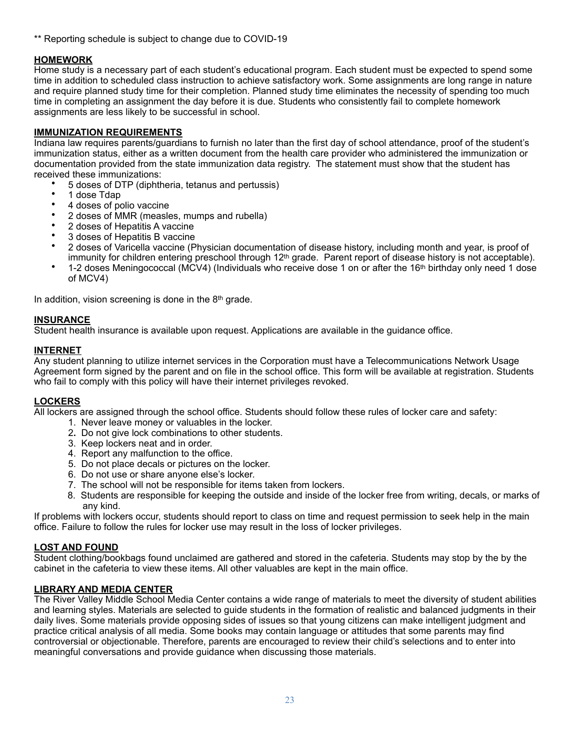\*\* Reporting schedule is subject to change due to COVID-19

#### **HOMEWORK**

Home study is a necessary part of each student's educational program. Each student must be expected to spend some time in addition to scheduled class instruction to achieve satisfactory work. Some assignments are long range in nature and require planned study time for their completion. Planned study time eliminates the necessity of spending too much time in completing an assignment the day before it is due. Students who consistently fail to complete homework assignments are less likely to be successful in school.

#### **IMMUNIZATION REQUIREMENTS**

Indiana law requires parents/guardians to furnish no later than the first day of school attendance, proof of the student's immunization status, either as a written document from the health care provider who administered the immunization or documentation provided from the state immunization data registry. The statement must show that the student has received these immunizations:

- 5 doses of DTP (diphtheria, tetanus and pertussis)
- 1 dose Tdap
- 4 doses of polio vaccine
- 2 doses of MMR (measles, mumps and rubella)
- 2 doses of Hepatitis A vaccine
- 3 doses of Hepatitis B vaccine
- 2 doses of Varicella vaccine (Physician documentation of disease history, including month and year, is proof of immunity for children entering preschool through 12<sup>th</sup> grade. Parent report of disease history is not acceptable).
- 1-2 doses Meningococcal (MCV4) (Individuals who receive dose 1 on or after the 16th birthday only need 1 dose of MCV4)

In addition, vision screening is done in the 8th grade.

#### **INSURANCE**

Student health insurance is available upon request. Applications are available in the guidance office.

#### **INTERNET**

Any student planning to utilize internet services in the Corporation must have a Telecommunications Network Usage Agreement form signed by the parent and on file in the school office. This form will be available at registration. Students who fail to comply with this policy will have their internet privileges revoked.

#### **LOCKERS**

All lockers are assigned through the school office. Students should follow these rules of locker care and safety:

- 1. Never leave money or valuables in the locker.
- 2**.** Do not give lock combinations to other students.
- 3. Keep lockers neat and in order.
- 4. Report any malfunction to the office.
- 5. Do not place decals or pictures on the locker.
- 6. Do not use or share anyone else's locker.
- 7. The school will not be responsible for items taken from lockers.
- 8. Students are responsible for keeping the outside and inside of the locker free from writing, decals, or marks of any kind.

If problems with lockers occur, students should report to class on time and request permission to seek help in the main office. Failure to follow the rules for locker use may result in the loss of locker privileges.

#### **LOST AND FOUND**

Student clothing/bookbags found unclaimed are gathered and stored in the cafeteria. Students may stop by the by the cabinet in the cafeteria to view these items. All other valuables are kept in the main office.

#### **LIBRARY AND MEDIA CENTER**

The River Valley Middle School Media Center contains a wide range of materials to meet the diversity of student abilities and learning styles. Materials are selected to guide students in the formation of realistic and balanced judgments in their daily lives. Some materials provide opposing sides of issues so that young citizens can make intelligent judgment and practice critical analysis of all media. Some books may contain language or attitudes that some parents may find controversial or objectionable. Therefore, parents are encouraged to review their child's selections and to enter into meaningful conversations and provide guidance when discussing those materials.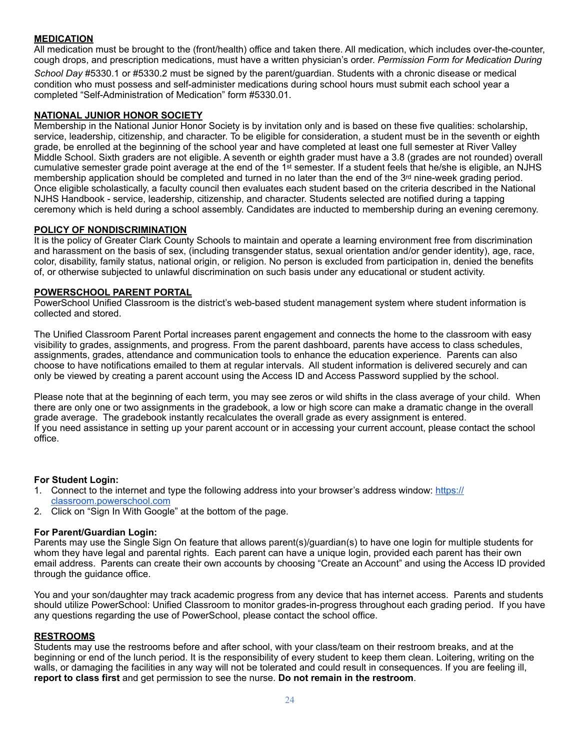#### **MEDICATION**

All medication must be brought to the (front/health) office and taken there. All medication, which includes over-the-counter, cough drops, and prescription medications, must have a written physician's order. *Permission Form for Medication During* 

*School Day* #5330.1 or #5330.2 must be signed by the parent/guardian. Students with a chronic disease or medical condition who must possess and self-administer medications during school hours must submit each school year a completed "Self-Administration of Medication" form #5330.01.

#### **NATIONAL JUNIOR HONOR SOCIETY**

Membership in the National Junior Honor Society is by invitation only and is based on these five qualities: scholarship, service, leadership, citizenship, and character. To be eligible for consideration, a student must be in the seventh or eighth grade, be enrolled at the beginning of the school year and have completed at least one full semester at River Valley Middle School. Sixth graders are not eligible. A seventh or eighth grader must have a 3.8 (grades are not rounded) overall cumulative semester grade point average at the end of the 1st semester. If a student feels that he/she is eligible, an NJHS membership application should be completed and turned in no later than the end of the 3<sup>rd</sup> nine-week grading period. Once eligible scholastically, a faculty council then evaluates each student based on the criteria described in the National NJHS Handbook - service, leadership, citizenship, and character. Students selected are notified during a tapping ceremony which is held during a school assembly. Candidates are inducted to membership during an evening ceremony.

#### **POLICY OF NONDISCRIMINATION**

It is the policy of Greater Clark County Schools to maintain and operate a learning environment free from discrimination and harassment on the basis of sex, (including transgender status, sexual orientation and/or gender identity), age, race, color, disability, family status, national origin, or religion. No person is excluded from participation in, denied the benefits of, or otherwise subjected to unlawful discrimination on such basis under any educational or student activity.

#### **POWERSCHOOL PARENT PORTAL**

PowerSchool Unified Classroom is the district's web-based student management system where student information is collected and stored.

The Unified Classroom Parent Portal increases parent engagement and connects the home to the classroom with easy visibility to grades, assignments, and progress. From the parent dashboard, parents have access to class schedules, assignments, grades, attendance and communication tools to enhance the education experience. Parents can also choose to have notifications emailed to them at regular intervals. All student information is delivered securely and can only be viewed by creating a parent account using the Access ID and Access Password supplied by the school.

Please note that at the beginning of each term, you may see zeros or wild shifts in the class average of your child. When there are only one or two assignments in the gradebook, a low or high score can make a dramatic change in the overall grade average. The gradebook instantly recalculates the overall grade as every assignment is entered. If you need assistance in setting up your parent account or in accessing your current account, please contact the school office.

#### **For Student Login:**

- 1. Connect to the internet and type the following address into your browser's address window: [https://](https://classroom.powerschool.com) [classroom.powerschool.com](https://classroom.powerschool.com)
- 2. Click on "Sign In With Google" at the bottom of the page.

#### **For Parent/Guardian Login:**

Parents may use the Single Sign On feature that allows parent(s)/guardian(s) to have one login for multiple students for whom they have legal and parental rights. Each parent can have a unique login, provided each parent has their own email address. Parents can create their own accounts by choosing "Create an Account" and using the Access ID provided through the guidance office.

You and your son/daughter may track academic progress from any device that has internet access. Parents and students should utilize PowerSchool: Unified Classroom to monitor grades-in-progress throughout each grading period. If you have any questions regarding the use of PowerSchool, please contact the school office.

#### **RESTROOMS**

Students may use the restrooms before and after school, with your class/team on their restroom breaks, and at the beginning or end of the lunch period. It is the responsibility of every student to keep them clean. Loitering, writing on the walls, or damaging the facilities in any way will not be tolerated and could result in consequences. If you are feeling ill, **report to class first** and get permission to see the nurse. **Do not remain in the restroom**.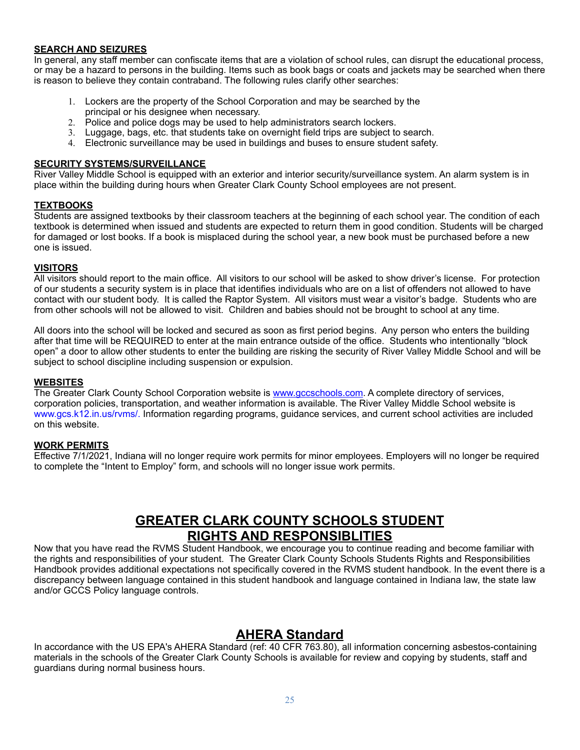#### **SEARCH AND SEIZURES**

In general, any staff member can confiscate items that are a violation of school rules, can disrupt the educational process, or may be a hazard to persons in the building. Items such as book bags or coats and jackets may be searched when there is reason to believe they contain contraband. The following rules clarify other searches:

- 1. Lockers are the property of the School Corporation and may be searched by the principal or his designee when necessary.
- 2. Police and police dogs may be used to help administrators search lockers.
- 3. Luggage, bags, etc. that students take on overnight field trips are subject to search.
- 4. Electronic surveillance may be used in buildings and buses to ensure student safety.

#### **SECURITY SYSTEMS/SURVEILLANCE**

River Valley Middle School is equipped with an exterior and interior security/surveillance system. An alarm system is in place within the building during hours when Greater Clark County School employees are not present.

#### **TEXTBOOKS**

Students are assigned textbooks by their classroom teachers at the beginning of each school year. The condition of each textbook is determined when issued and students are expected to return them in good condition. Students will be charged for damaged or lost books. If a book is misplaced during the school year, a new book must be purchased before a new one is issued.

#### **VISITORS**

All visitors should report to the main office. All visitors to our school will be asked to show driver's license. For protection of our students a security system is in place that identifies individuals who are on a list of offenders not allowed to have contact with our student body. It is called the Raptor System. All visitors must wear a visitor's badge. Students who are from other schools will not be allowed to visit. Children and babies should not be brought to school at any time.

All doors into the school will be locked and secured as soon as first period begins. Any person who enters the building after that time will be REQUIRED to enter at the main entrance outside of the office. Students who intentionally "block open" a door to allow other students to enter the building are risking the security of River Valley Middle School and will be subject to school discipline including suspension or expulsion.

#### **WEBSITES**

The Greater Clark County School Corporation website is [www.gccschools.com](http://www.gccschools.com). A complete directory of services, corporation policies, transportation, and weather information is available. The River Valley Middle School website is www.gcs.k12.in.us/rvms/. Information regarding programs, guidance services, and current school activities are included on this website.

#### **WORK PERMITS**

Effective 7/1/2021, Indiana will no longer require work permits for minor employees. Employers will no longer be required to complete the "Intent to Employ" form, and schools will no longer issue work permits.

## **GREATER CLARK COUNTY SCHOOLS STUDENT RIGHTS AND RESPONSIBLITIES**

Now that you have read the RVMS Student Handbook, we encourage you to continue reading and become familiar with the rights and responsibilities of your student. The Greater Clark County Schools Students Rights and Responsibilities Handbook provides additional expectations not specifically covered in the RVMS student handbook. In the event there is a discrepancy between language contained in this student handbook and language contained in Indiana law, the state law and/or GCCS Policy language controls.

### **AHERA Standard**

In accordance with the US EPA's AHERA Standard (ref: 40 CFR 763.80), all information concerning asbestos-containing materials in the schools of the Greater Clark County Schools is available for review and copying by students, staff and guardians during normal business hours.